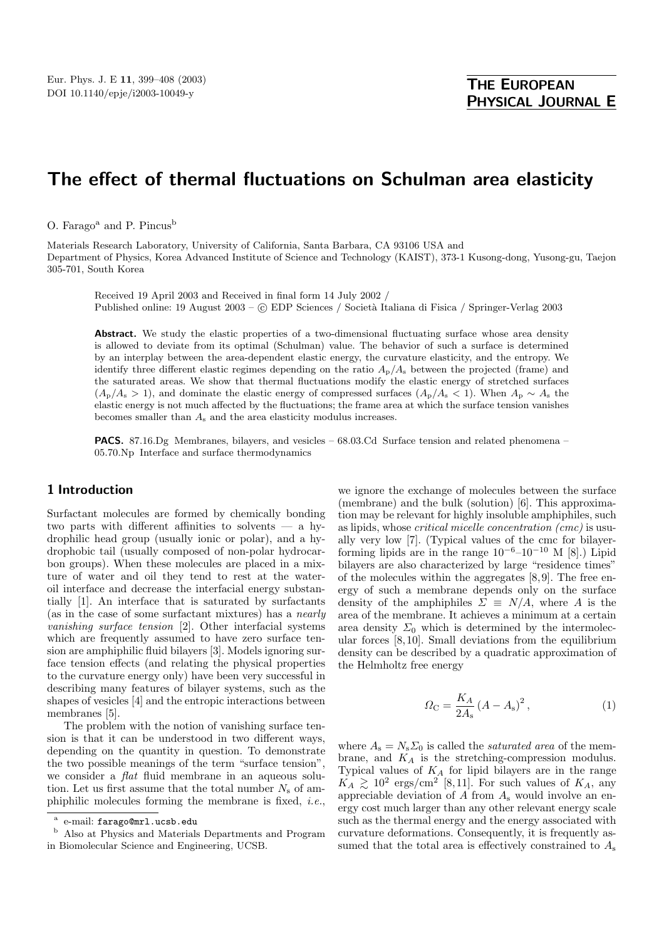# **The effect of thermal fluctuations on Schulman area elasticity**

O. Farago<sup>a</sup> and P. Pincus<sup>b</sup>

Materials Research Laboratory, University of California, Santa Barbara, CA 93106 USA and Department of Physics, Korea Advanced Institute of Science and Technology (KAIST), 373-1 Kusong-dong, Yusong-gu, Taejon 305-701, South Korea

Received 19 April 2003 and Received in final form 14 July 2002 / Published online: 19 August 2003 – © EDP Sciences / Società Italiana di Fisica / Springer-Verlag 2003

Abstract. We study the elastic properties of a two-dimensional fluctuating surface whose area density is allowed to deviate from its optimal (Schulman) value. The behavior of such a surface is determined by an interplay between the area-dependent elastic energy, the curvature elasticity, and the entropy. We identify three different elastic regimes depending on the ratio  $A<sub>p</sub>/A<sub>s</sub>$  between the projected (frame) and the saturated areas. We show that thermal fluctuations modify the elastic energy of stretched surfaces  $(A_p/A_s > 1)$ , and dominate the elastic energy of compressed surfaces  $(A_p/A_s < 1)$ . When  $A_p \sim A_s$  the elastic energy is not much affected by the fluctuations; the frame area at which the surface tension vanishes becomes smaller than  $A_s$  and the area elasticity modulus increases.

**PACS.** 87.16.Dg Membranes, bilayers, and vesicles – 68.03.Cd Surface tension and related phenomena – 05.70.Np Interface and surface thermodynamics

# **1 Introduction**

Surfactant molecules are formed by chemically bonding two parts with different affinities to solvents — a hydrophilic head group (usually ionic or polar), and a hydrophobic tail (usually composed of non-polar hydrocarbon groups). When these molecules are placed in a mixture of water and oil they tend to rest at the wateroil interface and decrease the interfacial energy substantially [1]. An interface that is saturated by surfactants (as in the case of some surfactant mixtures) has a nearly vanishing surface tension [2]. Other interfacial systems which are frequently assumed to have zero surface tension are amphiphilic fluid bilayers [3]. Models ignoring surface tension effects (and relating the physical properties to the curvature energy only) have been very successful in describing many features of bilayer systems, such as the shapes of vesicles [4] and the entropic interactions between membranes [5].

The problem with the notion of vanishing surface tension is that it can be understood in two different ways, depending on the quantity in question. To demonstrate the two possible meanings of the term "surface tension", we consider a flat fluid membrane in an aqueous solution. Let us first assume that the total number  $N<sub>s</sub>$  of amphiphilic molecules forming the membrane is fixed, i.e.,

<sup>b</sup> Also at Physics and Materials Departments and Program in Biomolecular Science and Engineering, UCSB.

we ignore the exchange of molecules between the surface (membrane) and the bulk (solution)  $[6]$ . This approximation may be relevant for highly insoluble amphiphiles, such as lipids, whose critical micelle concentration (cmc) is usually very low [7]. (Typical values of the cmc for bilayerforming lipids are in the range  $10^{-6}-10^{-10}$  M [8].) Lipid bilayers are also characterized by large "residence times" of the molecules within the aggregates [8, 9]. The free energy of such a membrane depends only on the surface density of the amphiphiles  $\Sigma \equiv N/A$ , where A is the area of the membrane. It achieves a minimum at a certain area density  $\Sigma_0$  which is determined by the intermolecular forces [8, 10]. Small deviations from the equilibrium density can be described by a quadratic approximation of the Helmholtz free energy

$$
\Omega_{\rm C} = \frac{K_A}{2A_{\rm s}} \left( A - A_{\rm s} \right)^2, \tag{1}
$$

where  $A_s = N_s \Sigma_0$  is called the *saturated area* of the membrane, and  $K_A$  is the stretching-compression modulus. Typical values of  $K_A$  for lipid bilayers are in the range  $K_A \gtrsim 10^2$  ergs/cm<sup>2</sup> [8,11]. For such values of  $K_A$ , any appreciable deviation of  $A$  from  $A_s$  would involve an energy cost much larger than any other relevant energy scale such as the thermal energy and the energy associated with curvature deformations. Consequently, it is frequently assumed that the total area is effectively constrained to  $A_s$ 

e-mail: farago@mrl.ucsb.edu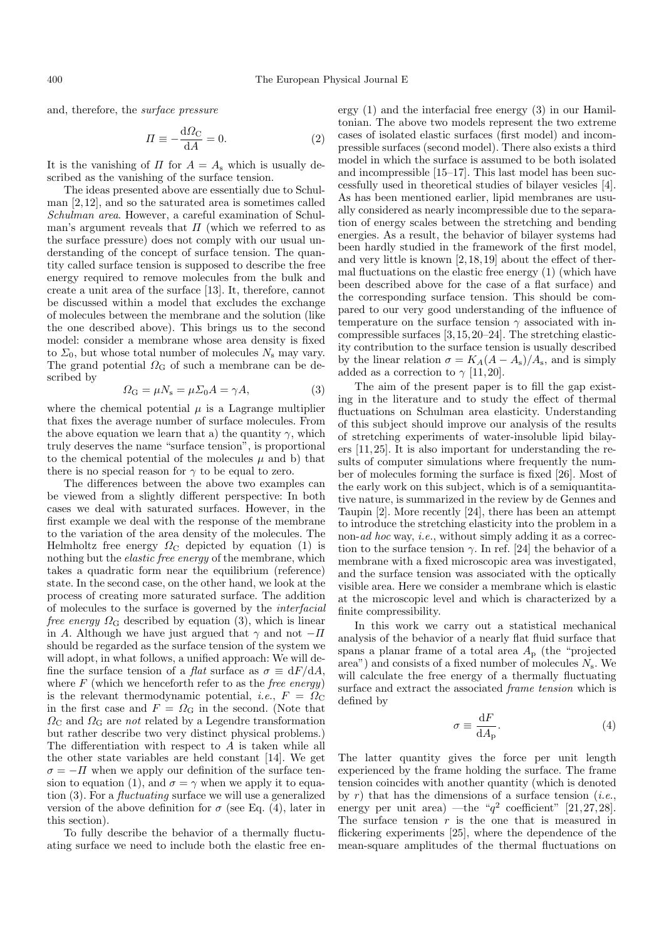and, therefore, the surface pressure

$$
\Pi \equiv -\frac{\mathrm{d}\Omega_{\mathrm{C}}}{\mathrm{d}A} = 0. \tag{2}
$$

It is the vanishing of  $\Pi$  for  $A = A_s$  which is usually described as the vanishing of the surface tension.

The ideas presented above are essentially due to Schulman [2, 12], and so the saturated area is sometimes called Schulman area. However, a careful examination of Schulman's argument reveals that  $\Pi$  (which we referred to as the surface pressure) does not comply with our usual understanding of the concept of surface tension. The quantity called surface tension is supposed to describe the free energy required to remove molecules from the bulk and create a unit area of the surface [13]. It, therefore, cannot be discussed within a model that excludes the exchange of molecules between the membrane and the solution (like the one described above). This brings us to the second model: consider a membrane whose area density is fixed to  $\Sigma_0$ , but whose total number of molecules  $N_s$  may vary. The grand potential  $\Omega$ <sub>G</sub> of such a membrane can be described by

$$
\Omega_{\rm G} = \mu N_{\rm s} = \mu \Sigma_0 A = \gamma A,\tag{3}
$$

where the chemical potential  $\mu$  is a Lagrange multiplier that fixes the average number of surface molecules. From the above equation we learn that a) the quantity  $\gamma$ , which truly deserves the name "surface tension", is proportional to the chemical potential of the molecules  $\mu$  and b) that there is no special reason for  $\gamma$  to be equal to zero.

The differences between the above two examples can be viewed from a slightly different perspective: In both cases we deal with saturated surfaces. However, in the first example we deal with the response of the membrane to the variation of the area density of the molecules. The Helmholtz free energy  $\Omega_{\rm C}$  depicted by equation (1) is nothing but the elastic free energy of the membrane, which takes a quadratic form near the equilibrium (reference) state. In the second case, on the other hand, we look at the process of creating more saturated surface. The addition of molecules to the surface is governed by the interfacial *free energy*  $\Omega_{\rm G}$  described by equation (3), which is linear in A. Although we have just argued that  $\gamma$  and not  $-\Pi$ should be regarded as the surface tension of the system we will adopt, in what follows, a unified approach: We will define the surface tension of a *flat* surface as  $\sigma \equiv dF/dA$ , where  $F$  (which we henceforth refer to as the *free energy*) is the relevant thermodynamic potential, *i.e.*,  $F = \Omega_C$ in the first case and  $F = \Omega_{\rm G}$  in the second. (Note that  $\Omega_{\rm C}$  and  $\Omega_{\rm G}$  are *not* related by a Legendre transformation but rather describe two very distinct physical problems.) The differentiation with respect to A is taken while all the other state variables are held constant [14]. We get  $\sigma = -\Pi$  when we apply our definition of the surface tension to equation (1), and  $\sigma = \gamma$  when we apply it to equation (3). For a fluctuating surface we will use a generalized version of the above definition for  $\sigma$  (see Eq. (4), later in this section).

To fully describe the behavior of a thermally fluctuating surface we need to include both the elastic free energy  $(1)$  and the interfacial free energy  $(3)$  in our Hamiltonian. The above two models represent the two extreme cases of isolated elastic surfaces (first model)and incompressible surfaces (second model). There also exists a third model in which the surface is assumed to be both isolated and incompressible [15–17]. This last model has been successfully used in theoretical studies of bilayer vesicles [4]. As has been mentioned earlier, lipid membranes are usually considered as nearly incompressible due to the separation of energy scales between the stretching and bending energies. As a result, the behavior of bilayer systems had been hardly studied in the framework of the first model, and very little is known [2, 18, 19] about the effect of thermal fluctuations on the elastic free energy  $(1)$  (which have been described above for the case of a flat surface) and the corresponding surface tension. This should be compared to our very good understanding of the influence of temperature on the surface tension  $\gamma$  associated with incompressible surfaces [3, 15, 20–24]. The stretching elasticity contribution to the surface tension is usually described by the linear relation  $\sigma = K_A(A - A_s)/A_s$ , and is simply added as a correction to  $\gamma$  [11, 20].

The aim of the present paper is to fill the gap existing in the literature and to study the effect of thermal fluctuations on Schulman area elasticity. Understanding of this subject should improve our analysis of the results of stretching experiments of water-insoluble lipid bilayers [11, 25]. It is also important for understanding the results of computer simulations where frequently the number of molecules forming the surface is fixed [26]. Most of the early work on this subject, which is of a semiquantitative nature, is summarized in the review by de Gennes and Taupin [2]. More recently [24], there has been an attempt to introduce the stretching elasticity into the problem in a non-ad hoc way, *i.e.*, without simply adding it as a correction to the surface tension  $\gamma$ . In ref. [24] the behavior of a membrane with a fixed microscopic area was investigated, and the surface tension was associated with the optically visible area. Here we consider a membrane which is elastic at the microscopic level and which is characterized by a finite compressibility.

In this work we carry out a statistical mechanical analysis of the behavior of a nearly flat fluid surface that spans a planar frame of a total area  $A_{\rm p}$  (the "projected") area") and consists of a fixed number of molecules  $N_s$ . We will calculate the free energy of a thermally fluctuating surface and extract the associated frame tension which is defined by

$$
\sigma \equiv \frac{\mathrm{d}F}{\mathrm{d}A_{\mathrm{p}}}.\tag{4}
$$

The latter quantity gives the force per unit length experienced by the frame holding the surface. The frame tension coincides with another quantity (which is denoted by r) that has the dimensions of a surface tension (*i.e.*, energy per unit area) —the " $q^2$  coefficient" [21, 27, 28]. The surface tension  $r$  is the one that is measured in flickering experiments [25], where the dependence of the mean-square amplitudes of the thermal fluctuations on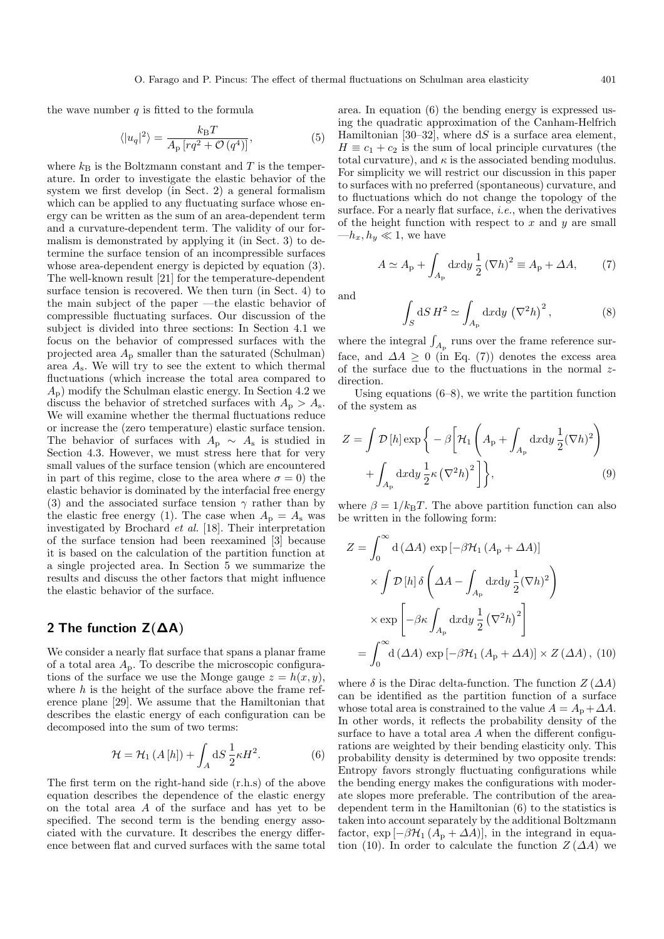the wave number  $q$  is fitted to the formula

$$
\langle |u_q|^2 \rangle = \frac{k_\text{B}T}{A_\text{p} \left[ r q^2 + \mathcal{O}\left(q^4\right) \right]},\tag{5}
$$

where  $k_B$  is the Boltzmann constant and T is the temperature. In order to investigate the elastic behavior of the system we first develop (in Sect. 2) a general formalism which can be applied to any fluctuating surface whose energy can be written as the sum of an area-dependent term and a curvature-dependent term. The validity of our formalism is demonstrated by applying it (in Sect. 3) to determine the surface tension of an incompressible surfaces whose area-dependent energy is depicted by equation (3). The well-known result [21] for the temperature-dependent surface tension is recovered. We then turn (in Sect. 4) to the main subject of the paper —the elastic behavior of compressible fluctuating surfaces. Our discussion of the subject is divided into three sections: In Section 4.1 we focus on the behavior of compressed surfaces with the projected area  $A_{\rm p}$  smaller than the saturated (Schulman) area  $A_s$ . We will try to see the extent to which thermal fluctuations (which increase the total area compared to  $A_{\rm p}$ ) modify the Schulman elastic energy. In Section 4.2 we discuss the behavior of stretched surfaces with  $A_p > A_s$ . We will examine whether the thermal fluctuations reduce or increase the (zero temperature) elastic surface tension. The behavior of surfaces with  $A_{p} \sim A_{s}$  is studied in Section 4.3. However, we must stress here that for very small values of the surface tension (which are encountered in part of this regime, close to the area where  $\sigma = 0$ ) the elastic behavior is dominated by the interfacial free energy (3) and the associated surface tension  $\gamma$  rather than by the elastic free energy (1). The case when  $A_{\rm p} = A_{\rm s}$  was investigated by Brochard et al. [18]. Their interpretation of the surface tension had been reexamined [3] because it is based on the calculation of the partition function at a single projected area. In Section 5 we summarize the results and discuss the other factors that might influence the elastic behavior of the surface.

## **2 The function Z(∆A)**

We consider a nearly flat surface that spans a planar frame of a total area  $A_p$ . To describe the microscopic configurations of the surface we use the Monge gauge  $z = h(x, y)$ , where  $h$  is the height of the surface above the frame reference plane [29]. We assume that the Hamiltonian that describes the elastic energy of each configuration can be decomposed into the sum of two terms:

$$
\mathcal{H} = \mathcal{H}_1 \left( A \left[ h \right] \right) + \int_A \mathrm{d}S \, \frac{1}{2} \kappa H^2. \tag{6}
$$

The first term on the right-hand side (r.h.s) of the above equation describes the dependence of the elastic energy on the total area A of the surface and has yet to be specified. The second term is the bending energy associated with the curvature. It describes the energy difference between flat and curved surfaces with the same total

area. In equation  $(6)$  the bending energy is expressed using the quadratic approximation of the Canham-Helfrich Hamiltonian [30–32], where  $dS$  is a surface area element,  $H \equiv c_1 + c_2$  is the sum of local principle curvatures (the total curvature), and  $\kappa$  is the associated bending modulus. For simplicity we will restrict our discussion in this paper to surfaces with no preferred (spontaneous) curvature, and to fluctuations which do not change the topology of the surface. For a nearly flat surface, *i.e.*, when the derivatives of the height function with respect to  $x$  and  $y$  are small  $-h_x, h_y \ll 1$ , we have

$$
A \simeq A_{\rm p} + \int_{A_{\rm p}} dx dy \frac{1}{2} (\nabla h)^2 \equiv A_{\rm p} + \Delta A,\tag{7}
$$

and

$$
\int_{S} dS H^{2} \simeq \int_{A_{\rm p}} dxdy \, (\nabla^{2} h)^{2} \,, \tag{8}
$$

where the integral  $\int_{A_{\rm p}}$  runs over the frame reference surface, and  $\Delta A \geq 0$  (in Eq. (7)) denotes the excess area of the surface due to the fluctuations in the normal zdirection.

Using equations  $(6-8)$ , we write the partition function of the system as

$$
Z = \int \mathcal{D}[h] \exp \left\{ -\beta \left[ \mathcal{H}_1 \left( A_{\rm p} + \int_{A_{\rm p}} dx dy \frac{1}{2} (\nabla h)^2 \right) + \int_{A_{\rm p}} dx dy \frac{1}{2} \kappa (\nabla^2 h)^2 \right] \right\},
$$
(9)

where  $\beta = 1/k_BT$ . The above partition function can also be written in the following form:

$$
Z = \int_0^\infty d(\Delta A) \exp[-\beta \mathcal{H}_1 (A_p + \Delta A)]
$$
  
 
$$
\times \int \mathcal{D}[h] \delta \left( \Delta A - \int_{A_p} dx dy \frac{1}{2} (\nabla h)^2 \right)
$$
  
 
$$
\times \exp \left[ -\beta \kappa \int_{A_p} dx dy \frac{1}{2} (\nabla^2 h)^2 \right]
$$
  

$$
= \int_0^\infty d(\Delta A) \exp[-\beta \mathcal{H}_1 (A_p + \Delta A)] \times Z(\Delta A), (10)
$$

where  $\delta$  is the Dirac delta-function. The function  $Z(\Delta A)$ can be identified as the partition function of a surface whose total area is constrained to the value  $A = A_p + \Delta A$ . In other words, it reflects the probability density of the surface to have a total area A when the different configurations are weighted by their bending elasticity only. This probability density is determined by two opposite trends: Entropy favors strongly fluctuating configurations while the bending energy makes the configurations with moderate slopes more preferable. The contribution of the areadependent term in the Hamiltonian  $(6)$  to the statistics is taken into account separately by the additional Boltzmann factor,  $\exp[-\beta \mathcal{H}_1 (A_p + \Delta A)]$ , in the integrand in equation (10). In order to calculate the function  $Z(\Delta A)$  we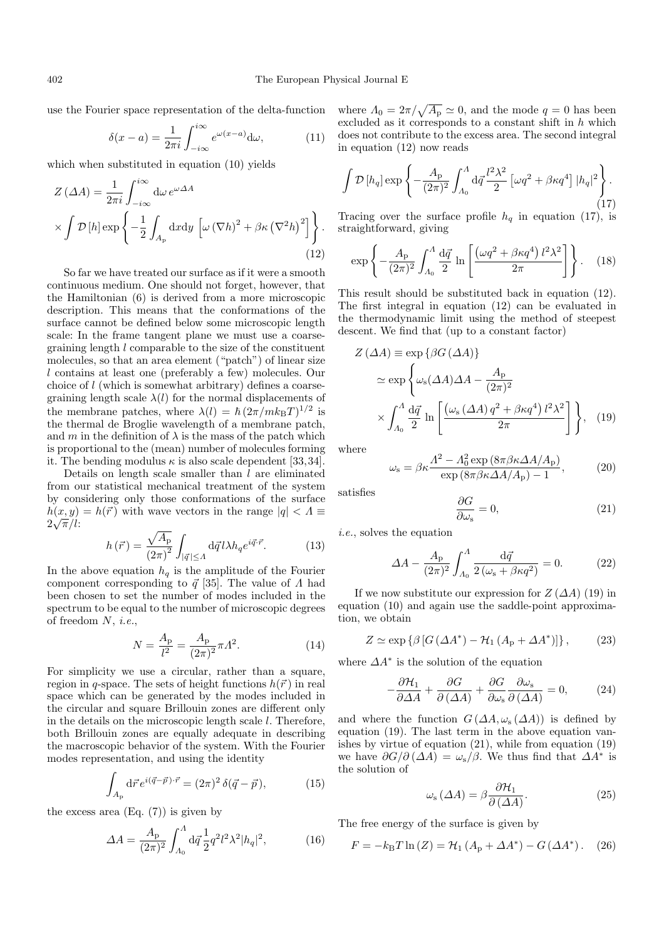use the Fourier space representation of the delta-function

$$
\delta(x-a) = \frac{1}{2\pi i} \int_{-i\infty}^{i\infty} e^{\omega(x-a)} d\omega,
$$
 (11)

which when substituted in equation  $(10)$  yields

$$
Z(\Delta A) = \frac{1}{2\pi i} \int_{-i\infty}^{i\infty} d\omega \, e^{\omega \Delta A} \times \int \mathcal{D}[h] \exp\left\{-\frac{1}{2} \int_{A_{\rm p}} dxdy \left[\omega \left(\nabla h\right)^{2} + \beta \kappa \left(\nabla^{2} h\right)^{2}\right]\right\}.
$$
\n(12)

So far we have treated our surface as if it were a smooth continuous medium. One should not forget, however, that the Hamiltonian  $(6)$  is derived from a more microscopic description. This means that the conformations of the surface cannot be defined below some microscopic length scale: In the frame tangent plane we must use a coarsegraining length l comparable to the size of the constituent molecules, so that an area element ("patch") of linear size  $l$  contains at least one (preferably a few) molecules. Our choice of  $l$  (which is somewhat arbitrary) defines a coarsegraining length scale  $\lambda(l)$  for the normal displacements of the membrane patches, where  $\lambda(l) = \hbar (2\pi/mk_BT)^{1/2}$  is the thermal de Broglie wavelength of a membrane patch, and m in the definition of  $\lambda$  is the mass of the patch which is proportional to the (mean) number of molecules forming it. The bending modulus  $\kappa$  is also scale dependent [33, 34].

Details on length scale smaller than  $l$  are eliminated from our statistical mechanical treatment of the system by considering only those conformations of the surface  $h(x, y) = h(\vec{r})$  with wave vectors in the range  $|q| < \Lambda \equiv$  $\frac{n(x,y)}{2\sqrt{\pi}/l}$ 

$$
h\left(\vec{r}\right) = \frac{\sqrt{A_{\rm p}}}{\left(2\pi\right)^2} \int_{\left|\vec{q}\right| \le A} \mathrm{d}\vec{q} \, l \lambda h_q e^{i\vec{q}\cdot\vec{r}}.\tag{13}
$$

In the above equation  $h_q$  is the amplitude of the Fourier component corresponding to  $\vec{q}$  [35]. The value of  $\Lambda$  had been chosen to set the number of modes included in the spectrum to be equal to the number of microscopic degrees of freedom  $N$ , *i.e.*,

$$
N = \frac{A_{\rm p}}{l^2} = \frac{A_{\rm p}}{(2\pi)^2} \pi \Lambda^2.
$$
 (14)

For simplicity we use a circular, rather than a square, region in q-space. The sets of height functions  $h(\vec{r})$  in real space which can be generated by the modes included in the circular and square Brillouin zones are different only in the details on the microscopic length scale l. Therefore, both Brillouin zones are equally adequate in describing the macroscopic behavior of the system. With the Fourier modes representation, and using the identity

$$
\int_{A_{\rm p}} d\vec{r} \, e^{i(\vec{q} - \vec{p}) \cdot \vec{r}} = (2\pi)^2 \, \delta(\vec{q} - \vec{p}),\tag{15}
$$

the excess area  $(Eq. (7))$  is given by

$$
\Delta A = \frac{A_{\rm p}}{(2\pi)^2} \int_{A_0}^{A} d\vec{q} \frac{1}{2} q^2 l^2 \lambda^2 |h_q|^2, \tag{16}
$$

where  $\Lambda_0 = 2\pi/\sqrt{A_P} \simeq 0$ , and the mode  $q = 0$  has been excluded as it corresponds to a constant shift in  $h$  which does not contribute to the excess area. The second integral in equation  $(12)$  now reads

$$
\int \mathcal{D}\left[h_q\right] \exp\left\{-\frac{A_p}{(2\pi)^2} \int_{A_0}^A \mathrm{d}\vec{q} \frac{l^2 \lambda^2}{2} \left[\omega q^2 + \beta \kappa q^4\right] |h_q|^2\right\}.
$$
\n(17)

Tracing over the surface profile  $h_q$  in equation (17), is straightforward, giving

$$
\exp\left\{-\frac{A_{\rm p}}{(2\pi)^2}\int_{A_0}^A \frac{\mathrm{d}\vec{q}}{2}\ln\left[\frac{\left(\omega q^2 + \beta\kappa q^4\right)l^2\lambda^2}{2\pi}\right]\right\}.\tag{18}
$$

This result should be substituted back in equation (12). The first integral in equation  $(12)$  can be evaluated in the thermodynamic limit using the method of steepest descent. We find that (up to a constant factor)

$$
Z(\Delta A) \equiv \exp \{ \beta G (\Delta A) \}
$$
  
\n
$$
\simeq \exp \left\{ \omega_s (\Delta A) \Delta A - \frac{A_p}{(2\pi)^2} \right\}
$$
  
\n
$$
\times \int_{A_0}^{A} \frac{d\vec{q}}{2} \ln \left[ \frac{(\omega_s (\Delta A) q^2 + \beta \kappa q^4) l^2 \lambda^2}{2\pi} \right] \right\}, \quad (19)
$$

where

$$
\omega_{\rm s} = \beta \kappa \frac{\Lambda^2 - \Lambda_0^2 \exp\left(8\pi \beta \kappa \Delta A / A_{\rm p}\right)}{\exp\left(8\pi \beta \kappa \Delta A / A_{\rm p}\right) - 1},\tag{20}
$$

satisfies

$$
\frac{\partial G}{\partial \omega_{\rm s}} = 0,\tag{21}
$$

i.e., solves the equation

$$
\Delta A - \frac{A_{\rm p}}{(2\pi)^2} \int_{A_0}^{A} \frac{\mathrm{d}\vec{q}}{2(\omega_{\rm s} + \beta \kappa q^2)} = 0. \tag{22}
$$

If we now substitute our expression for  $Z(\Delta A)$  (19) in equation  $(10)$  and again use the saddle-point approximation, we obtain

$$
Z \simeq \exp\left\{\beta \left[ G \left( \Delta A^* \right) - \mathcal{H}_1 \left( A_p + \Delta A^* \right) \right] \right\},\tag{23}
$$

where  $\Delta A^*$  is the solution of the equation

$$
-\frac{\partial \mathcal{H}_1}{\partial \Delta A} + \frac{\partial G}{\partial (\Delta A)} + \frac{\partial G}{\partial \omega_s} \frac{\partial \omega_s}{\partial (\Delta A)} = 0, \quad (24)
$$

and where the function  $G(\Delta A, \omega_s(\Delta A))$  is defined by equation (19). The last term in the above equation vanishes by virtue of equation (21), while from equation (19) we have  $\partial G/\partial (\Delta A) = \omega_s/\beta$ . We thus find that  $\Delta A^*$  is the solution of

$$
\omega_{\rm s} \left( \Delta A \right) = \beta \frac{\partial \mathcal{H}_1}{\partial \left( \Delta A \right)}.\tag{25}
$$

The free energy of the surface is given by

$$
F = -k_{\rm B}T \ln{(Z)} = \mathcal{H}_1 (A_{\rm p} + \Delta A^*) - G (\Delta A^*)
$$
. (26)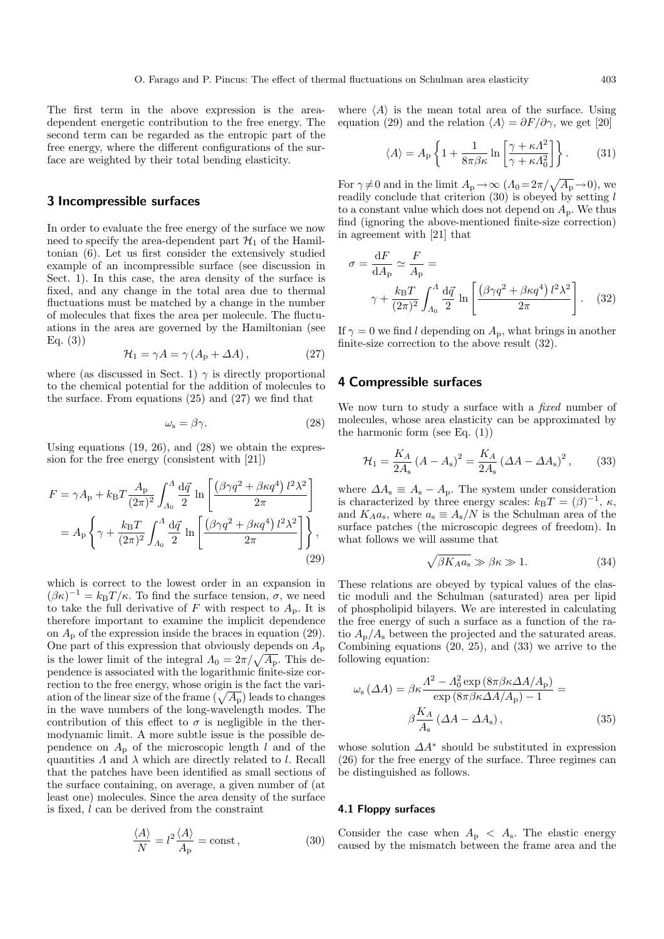The first term in the above expression is the areadependent energetic contribution to the free energy. The second term can be regarded as the entropic part of the free energy, where the different configurations of the surface are weighted by their total bending elasticity.

### **3 Incompressible surfaces**

In order to evaluate the free energy of the surface we now need to specify the area-dependent part  $\mathcal{H}_1$  of the Hamiltonian (6). Let us first consider the extensively studied example of an incompressible surface (see discussion in Sect. 1). In this case, the area density of the surface is fixed, and any change in the total area due to thermal fluctuations must be matched by a change in the number of molecules that fixes the area per molecule. The fluctuations in the area are governed by the Hamiltonian (see Eq.  $(3)$ )

$$
\mathcal{H}_1 = \gamma A = \gamma \left( A_p + \Delta A \right),\tag{27}
$$

where (as discussed in Sect. 1)  $\gamma$  is directly proportional to the chemical potential for the addition of molecules to the surface. From equations  $(25)$  and  $(27)$  we find that

$$
\omega_{\rm s} = \beta \gamma. \tag{28}
$$

Using equations  $(19, 26)$ , and  $(28)$  we obtain the expression for the free energy (consistent with [21])

$$
F = \gamma A_{\rm p} + k_{\rm B} T \frac{A_{\rm p}}{(2\pi)^2} \int_{A_0}^{A} \frac{\mathrm{d}\vec{q}}{2} \ln\left[\frac{\left(\beta\gamma q^2 + \beta\kappa q^4\right)l^2\lambda^2}{2\pi}\right]
$$

$$
= A_{\rm p} \left\{\gamma + \frac{k_{\rm B}T}{(2\pi)^2} \int_{A_0}^{A} \frac{\mathrm{d}\vec{q}}{2} \ln\left[\frac{\left(\beta\gamma q^2 + \beta\kappa q^4\right)l^2\lambda^2}{2\pi}\right]\right\},\tag{29}
$$

which is correct to the lowest order in an expansion in  $(\beta \kappa)^{-1} = k_{\text{B}}T/\kappa$ . To find the surface tension,  $\sigma$ , we need to take the full derivative of F with respect to  $A_p$ . It is therefore important to examine the implicit dependence on  $A_{\rm p}$  of the expression inside the braces in equation (29). One part of this expression that obviously depends on  $A_{\rm p}$ is the lower limit of the integral  $\Lambda_0 = 2\pi/\sqrt{A_P}$ . This dependence is associated with the logarithmic finite-size correction to the free energy, whose origin is the fact the variation of the linear size of the frame  $(\sqrt{A_{\rm p}})$  leads to changes in the wave numbers of the long-wavelength modes. The contribution of this effect to  $\sigma$  is negligible in the thermodynamic limit. A more subtle issue is the possible dependence on  $A_{\rm p}$  of the microscopic length l and of the quantities  $\Lambda$  and  $\lambda$  which are directly related to l. Recall that the patches have been identified as small sections of the surface containing, on average, a given number of (at least one) molecules. Since the area density of the surface is fixed, l can be derived from the constraint

$$
\frac{\langle A \rangle}{N} = l^2 \frac{\langle A \rangle}{A_p} = \text{const},\tag{30}
$$

where  $\langle A \rangle$  is the mean total area of the surface. Using equation (29) and the relation  $\langle A \rangle = \partial F / \partial \gamma$ , we get [20]

$$
\langle A \rangle = A_{\rm p} \left\{ 1 + \frac{1}{8\pi\beta\kappa} \ln \left[ \frac{\gamma + \kappa \Lambda^2}{\gamma + \kappa \Lambda_0^2} \right] \right\}.
$$
 (31)

For  $\gamma \neq 0$  and in the limit  $A_p \rightarrow \infty$   $(A_0 = 2\pi/\sqrt{A_p} \rightarrow 0)$ , we readily conclude that criterion  $(30)$  is obeyed by setting l to a constant value which does not depend on  $A_p$ . We thus find (ignoring the above-mentioned finite-size correction) in agreement with [21] that

$$
\sigma = \frac{dF}{dA_p} \simeq \frac{F}{A_p} = \gamma + \frac{k_B T}{(2\pi)^2} \int_{A_0}^{A} \frac{d\vec{q}}{2} \ln\left[\frac{(\beta \gamma q^2 + \beta \kappa q^4) l^2 \lambda^2}{2\pi}\right].
$$
 (32)

If  $\gamma = 0$  we find l depending on  $A_{p}$ , what brings in another finite-size correction to the above result (32).

## **4 Compressible surfaces**

We now turn to study a surface with a *fixed* number of molecules, whose area elasticity can be approximated by the harmonic form (see Eq. (1))

$$
\mathcal{H}_1 = \frac{K_A}{2A_s} (A - A_s)^2 = \frac{K_A}{2A_s} (\Delta A - \Delta A_s)^2, \quad (33)
$$

where  $\Delta A_s \equiv A_s - A_p$ . The system under consideration is characterized by three energy scales:  $k_BT = (\beta)^{-1}$ ,  $\kappa$ , and  $K_A a_s$ , where  $a_s \equiv A_s/N$  is the Schulman area of the surface patches (the microscopic degrees of freedom). In what follows we will assume that

$$
\sqrt{\beta K_A a_s} \gg \beta \kappa \gg 1. \tag{34}
$$

These relations are obeyed by typical values of the elastic moduli and the Schulman (saturated) area per lipid of phospholipid bilayers. We are interested in calculating the free energy of such a surface as a function of the ratio  $A_{\rm p}/A_{\rm s}$  between the projected and the saturated areas. Combining equations (20, 25), and (33) we arrive to the following equation:

$$
\omega_{\rm s} \left( \Delta A \right) = \beta \kappa \frac{A^2 - A_0^2 \exp \left( 8 \pi \beta \kappa \Delta A / A_{\rm p} \right)}{\exp \left( 8 \pi \beta \kappa \Delta A / A_{\rm p} \right) - 1} =
$$
  

$$
\beta \frac{K_A}{A_{\rm s}} \left( \Delta A - \Delta A_{\rm s} \right), \tag{35}
$$

whose solution  $\Delta A^*$  should be substituted in expression  $(26)$  for the free energy of the surface. Three regimes can be distinguished as follows.

#### **4.1 Floppysurfaces**

Consider the case when  $A_{\rm p} < A_{\rm s}$ . The elastic energy caused by the mismatch between the frame area and the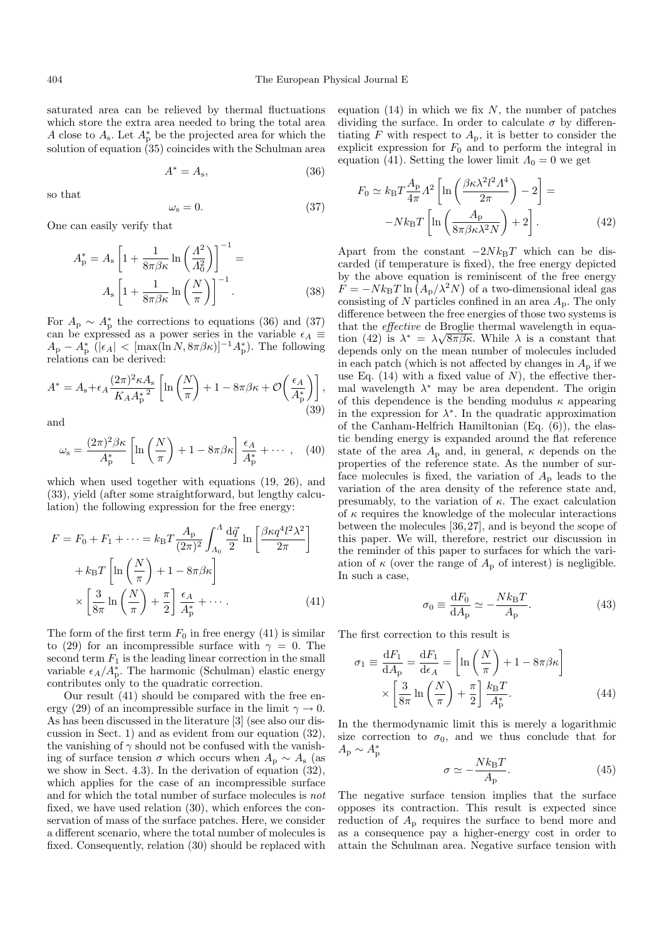saturated area can be relieved by thermal fluctuations which store the extra area needed to bring the total area A close to  $A_s$ . Let  $A_p^*$  be the projected area for which the solution of equation  $(35)$  coincides with the Schulman area

$$
A^* = A_s,\tag{36}
$$

so that

 $\omega_{\rm s}=0.$  (37)

One can easily verify that

$$
A_{\rm p}^{*} = A_{\rm s} \left[ 1 + \frac{1}{8\pi\beta\kappa} \ln\left(\frac{A^{2}}{A_{0}^{2}}\right) \right]^{-1} =
$$
  

$$
A_{\rm s} \left[ 1 + \frac{1}{8\pi\beta\kappa} \ln\left(\frac{N}{\pi}\right) \right]^{-1}.
$$
 (38)

For  $A_{\rm p} \sim A_{\rm p}^*$  the corrections to equations (36) and (37) can be expressed as a power series in the variable  $\epsilon_A \equiv$  $A_{\rm p} - A_{\rm p}^*$  ( $|\epsilon_A|$  < [max(ln N,  $8\pi\beta\kappa$ )]<sup>-1</sup> $A_{\rm p}^*$ ). The following relations can be derived:

$$
A^* = A_s + \epsilon_A \frac{(2\pi)^2 \kappa A_s}{K_A A_p^{*2}} \left[ \ln \left( \frac{N}{\pi} \right) + 1 - 8\pi \beta \kappa + \mathcal{O} \left( \frac{\epsilon_A}{A_p^*} \right) \right],
$$
\n(39)

and

$$
\omega_{\rm s} = \frac{(2\pi)^2 \beta \kappa}{A_{\rm p}^*} \left[ \ln \left( \frac{N}{\pi} \right) + 1 - 8\pi \beta \kappa \right] \frac{\epsilon_A}{A_{\rm p}^*} + \cdots , \quad (40)
$$

which when used together with equations (19, 26), and (33), yield (after some straightforward, but lengthy calculation) the following expression for the free energy:

$$
F = F_0 + F_1 + \dots = k_{\text{B}} T \frac{A_{\text{p}}}{(2\pi)^2} \int_{A_0}^{A} \frac{\mathrm{d}\vec{q}}{2} \ln\left[\frac{\beta \kappa q^4 l^2 \lambda^2}{2\pi}\right] + k_{\text{B}} T \left[\ln\left(\frac{N}{\pi}\right) + 1 - 8\pi \beta \kappa\right] \times \left[\frac{3}{8\pi} \ln\left(\frac{N}{\pi}\right) + \frac{\pi}{2}\right] \frac{\epsilon_A}{A_{\text{p}}^*} + \dots \tag{41}
$$

The form of the first term  $F_0$  in free energy (41) is similar to (29) for an incompressible surface with  $\gamma = 0$ . The second term  $F_1$  is the leading linear correction in the small variable  $\epsilon_A/A_p^*$ . The harmonic (Schulman) elastic energy contributes only to the quadratic correction.

Our result  $(41)$  should be compared with the free energy (29) of an incompressible surface in the limit  $\gamma \to 0$ . As has been discussed in the literature [3] (see also our discussion in Sect. 1) and as evident from our equation  $(32)$ , the vanishing of  $\gamma$  should not be confused with the vanishing of surface tension  $\sigma$  which occurs when  $A_{\rm p} \sim A_{\rm s}$  (as we show in Sect. 4.3). In the derivation of equation (32), which applies for the case of an incompressible surface and for which the total number of surface molecules is not fixed, we have used relation (30), which enforces the conservation of mass of the surface patches. Here, we consider a different scenario, where the total number of molecules is fixed. Consequently, relation  $(30)$  should be replaced with

equation (14) in which we fix  $N$ , the number of patches dividing the surface. In order to calculate  $\sigma$  by differentiating  $F$  with respect to  $A_p$ , it is better to consider the explicit expression for  $F_0$  and to perform the integral in equation (41). Setting the lower limit  $\Lambda_0 = 0$  we get

$$
F_0 \simeq k_{\rm B} T \frac{A_{\rm p}}{4\pi} \Lambda^2 \left[ \ln \left( \frac{\beta \kappa \lambda^2 l^2 \Lambda^4}{2\pi} \right) - 2 \right] =
$$

$$
-N k_{\rm B} T \left[ \ln \left( \frac{A_{\rm p}}{8\pi \beta \kappa \lambda^2 N} \right) + 2 \right].
$$
(42)

Apart from the constant  $-2Nk_BT$  which can be discarded (if temperature is fixed), the free energy depicted by the above equation is reminiscent of the free energy  $F = -Nk_BT \ln (A_p/\lambda^2 N)$  of a two-dimensional ideal gas consisting of  $N$  particles confined in an area  $A_p$ . The only difference between the free energies of those two systems is that the effective de Broglie thermal wavelength in equathat the *effective* de Brogne thermal wavelength in equation (42) is  $\lambda^* = \lambda \sqrt{8\pi \beta \kappa}$ . While  $\lambda$  is a constant that depends only on the mean number of molecules included in each patch (which is not affected by changes in  $A<sub>p</sub>$  if we use Eq. (14) with a fixed value of  $N$ ), the effective thermal wavelength  $\lambda^*$  may be area dependent. The origin of this dependence is the bending modulus  $\kappa$  appearing in the expression for  $\lambda^*$ . In the quadratic approximation of the Canham-Helfrich Hamiltonian (Eq. (6)), the elastic bending energy is expanded around the flat reference state of the area  $A_{\rm p}$  and, in general,  $\kappa$  depends on the properties of the reference state. As the number of surface molecules is fixed, the variation of  $A_{\rm p}$  leads to the variation of the area density of the reference state and, presumably, to the variation of  $\kappa$ . The exact calculation of  $\kappa$  requires the knowledge of the molecular interactions between the molecules [36, 27], and is beyond the scope of this paper. We will, therefore, restrict our discussion in the reminder of this paper to surfaces for which the variation of  $\kappa$  (over the range of  $A_{\rm p}$  of interest) is negligible. In such a case,

$$
\sigma_0 \equiv \frac{\mathrm{d}F_0}{\mathrm{d}A_{\mathrm{p}}} \simeq -\frac{Nk_{\mathrm{B}}T}{A_{\mathrm{p}}}.\tag{43}
$$

The first correction to this result is

$$
\sigma_1 \equiv \frac{dF_1}{dA_p} = \frac{dF_1}{d\epsilon_A} = \left[ \ln \left( \frac{N}{\pi} \right) + 1 - 8\pi \beta \kappa \right]
$$

$$
\times \left[ \frac{3}{8\pi} \ln \left( \frac{N}{\pi} \right) + \frac{\pi}{2} \right] \frac{k_B T}{A_p^*}.
$$
(44)

In the thermodynamic limit this is merely a logarithmic size correction to  $\sigma_0$ , and we thus conclude that for  $A_{\rm p} \sim A_{\rm p}^*$ 

$$
\sigma \simeq -\frac{Nk_{\rm B}T}{A_{\rm p}}.\tag{45}
$$

The negative surface tension implies that the surface opposes its contraction. This result is expected since reduction of  $A<sub>p</sub>$  requires the surface to bend more and as a consequence pay a higher-energy cost in order to attain the Schulman area. Negative surface tension with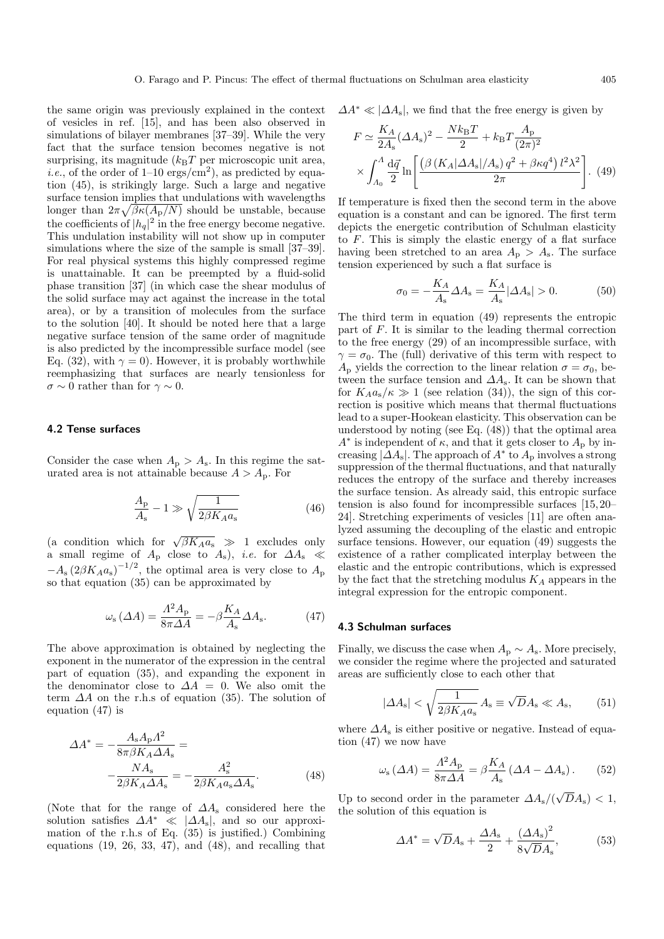the same origin was previously explained in the context of vesicles in ref. [15], and has been also observed in simulations of bilayer membranes [37–39]. While the very fact that the surface tension becomes negative is not surprising, its magnitude  $(k_BT)$  per microscopic unit area, *i.e.*, of the order of  $1-10 \text{ ergs/cm}^2$ , as predicted by equation (45), is strikingly large. Such a large and negative surface tension implies that undulations with wavelengths longer than  $2\pi\sqrt{\beta\kappa(A_{\rm p}/N)}$  should be unstable, because the coefficients of  $|h_q|^2$  in the free energy become negative. This undulation instability will not show up in computer simulations where the size of the sample is small  $[37-39]$ . For real physical systems this highly compressed regime is unattainable. It can be preempted by a fluid-solid phase transition [37] (in which case the shear modulus of the solid surface may act against the increase in the total area), or by a transition of molecules from the surface to the solution [40]. It should be noted here that a large negative surface tension of the same order of magnitude is also predicted by the incompressible surface model (see Eq. (32), with  $\gamma = 0$ ). However, it is probably worthwhile reemphasizing that surfaces are nearly tensionless for  $\sigma \sim 0$  rather than for  $\gamma \sim 0$ .

#### **4.2 Tense surfaces**

Consider the case when  $A_p > A_s$ . In this regime the saturated area is not attainable because  $A > A_p$ . For

$$
\frac{A_{\rm p}}{A_{\rm s}} - 1 \gg \sqrt{\frac{1}{2\beta K_A a_{\rm s}}} \tag{46}
$$

(a condition which for  $\sqrt{\beta K_A a_s} \gg 1$  excludes only a small regime of  $A_p$  close to  $A_s$ ), *i.e.* for  $\Delta A_s \ll$  $-A_{\rm s}(2\beta K_A a_{\rm s})^{-1/2}$ , the optimal area is very close to  $A_{\rm p}$ so that equation  $(35)$  can be approximated by

$$
\omega_{\rm s} \left( \Delta A \right) = \frac{A^2 A_{\rm p}}{8\pi \Delta A} = -\beta \frac{K_A}{A_{\rm s}} \Delta A_{\rm s}.\tag{47}
$$

The above approximation is obtained by neglecting the exponent in the numerator of the expression in the central part of equation (35), and expanding the exponent in the denominator close to  $\Delta A = 0$ . We also omit the term  $\Delta A$  on the r.h.s of equation (35). The solution of equation  $(47)$  is

$$
\Delta A^* = -\frac{A_s A_p A^2}{8\pi \beta K_A \Delta A_s} = -\frac{NA_s}{2\beta K_A \Delta A_s} = -\frac{A_s^2}{2\beta K_A a_s \Delta A_s}.
$$
\n(48)

(Note that for the range of  $\Delta A_s$  considered here the solution satisfies  $\Delta A^* \ll |\Delta A_{\rm s}|$ , and so our approximation of the r.h.s of Eq.  $(35)$  is justified.) Combining equations  $(19, 26, 33, 47)$ , and  $(48)$ , and recalling that

$$
\Delta A^* \ll |\Delta A_s|
$$
, we find that the free energy is given by

$$
F \simeq \frac{K_A}{2A_s} (\Delta A_s)^2 - \frac{Nk_B T}{2} + k_B T \frac{A_p}{(2\pi)^2}
$$
  
 
$$
\times \int_{A_0}^{A} \frac{d\vec{q}}{2} \ln \left[ \frac{(\beta (K_A |\Delta A_s| / A_s) q^2 + \beta \kappa q^4) l^2 \lambda^2}{2\pi} \right].
$$
 (49)

If temperature is fixed then the second term in the above equation is a constant and can be ignored. The first term depicts the energetic contribution of Schulman elasticity to  $F$ . This is simply the elastic energy of a flat surface having been stretched to an area  $A_{\rm p} > A_{\rm s}$ . The surface tension experienced by such a flat surface is

$$
\sigma_0 = -\frac{K_A}{A_s} \Delta A_s = \frac{K_A}{A_s} |\Delta A_s| > 0. \tag{50}
$$

The third term in equation  $(49)$  represents the entropic part of F. It is similar to the leading thermal correction to the free energy  $(29)$  of an incompressible surface, with  $\gamma = \sigma_0$ . The (full) derivative of this term with respect to  $A_{\rm p}$  yields the correction to the linear relation  $\sigma = \sigma_0$ , between the surface tension and  $\Delta A$ <sub>s</sub>. It can be shown that for  $K_A a_s/\kappa \gg 1$  (see relation (34)), the sign of this correction is positive which means that thermal fluctuations lead to a super-Hookean elasticity. This observation can be understood by noting (see Eq. (48)) that the optimal area  $A^*$  is independent of  $\kappa$ , and that it gets closer to  $A_p$  by increasing  $|\overline{\Delta}A_s|$ . The approach of  $A^*$  to  $A_p$  involves a strong suppression of the thermal fluctuations, and that naturally reduces the entropy of the surface and thereby increases the surface tension. As already said, this entropic surface tension is also found for incompressible surfaces [15, 20– 24]. Stretching experiments of vesicles [11] are often analyzed assuming the decoupling of the elastic and entropic surface tensions. However, our equation  $(49)$  suggests the existence of a rather complicated interplay between the elastic and the entropic contributions, which is expressed by the fact that the stretching modulus  $K_A$  appears in the integral expression for the entropic component.

#### **4.3 Schulman surfaces**

Finally, we discuss the case when  $A_p \sim A_s$ . More precisely, we consider the regime where the projected and saturated areas are sufficiently close to each other that

$$
|\Delta A_{\rm s}| < \sqrt{\frac{1}{2\beta K_A a_{\rm s}}} A_{\rm s} \equiv \sqrt{D} A_{\rm s} \ll A_{\rm s},\qquad(51)
$$

where  $\Delta A_s$  is either positive or negative. Instead of equation  $(47)$  we now have

$$
\omega_{\rm s} \left( \Delta A \right) = \frac{A^2 A_{\rm p}}{8\pi \Delta A} = \beta \frac{K_A}{A_{\rm s}} \left( \Delta A - \Delta A_{\rm s} \right). \tag{52}
$$

Up to second order in the parameter  $\Delta A_s/(\Omega)$ √  $DA_{\rm s}) < 1,$ the solution of this equation is

$$
\Delta A^* = \sqrt{D}A_s + \frac{\Delta A_s}{2} + \frac{\left(\Delta A_s\right)^2}{8\sqrt{D}A_s},\tag{53}
$$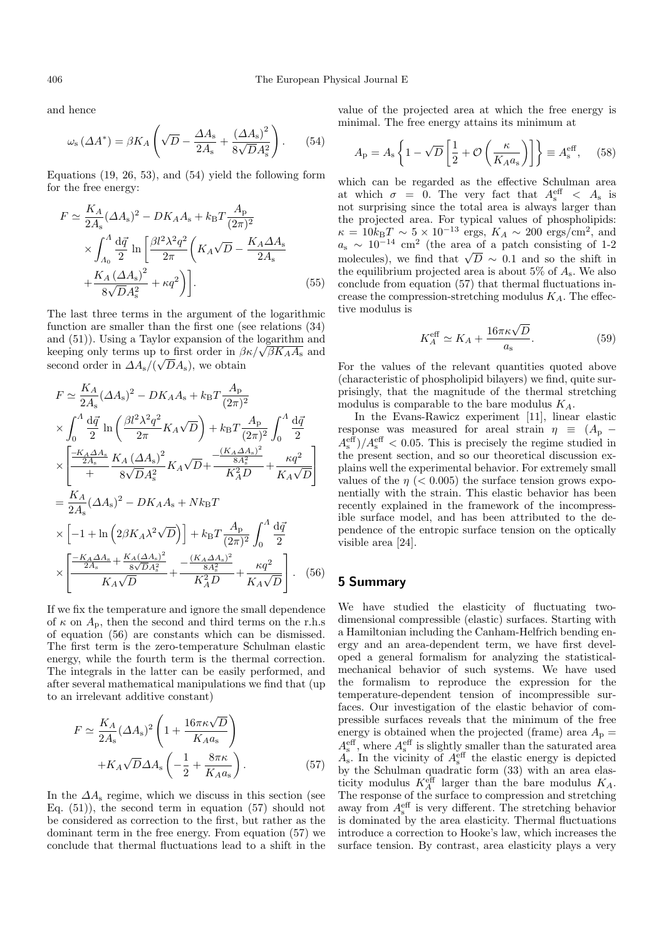and hence

$$
\omega_{\rm s} \left( \Delta A^* \right) = \beta K_A \left( \sqrt{D} - \frac{\Delta A_{\rm s}}{2A_{\rm s}} + \frac{\left( \Delta A_{\rm s} \right)^2}{8\sqrt{D}A_{\rm s}^2} \right). \tag{54}
$$

Equations (19, 26, 53), and (54) yield the following form for the free energy:

$$
F \simeq \frac{K_A}{2A_s} (\Delta A_s)^2 - DK_A A_s + k_B T \frac{A_p}{(2\pi)^2}
$$
  
 
$$
\times \int_{A_0}^{A} \frac{d\vec{q}}{2} \ln \left[ \frac{\beta l^2 \lambda^2 q^2}{2\pi} \left( K_A \sqrt{D} - \frac{K_A \Delta A_s}{2A_s} + \frac{K_A (\Delta A_s)^2}{8\sqrt{D} A_s^2} + \kappa q^2 \right) \right].
$$
 (55)

The last three terms in the argument of the logarithmic function are smaller than the first one (see relations (34) and (51)). Using a Taylor expansion of the logarithm and and (51)). Using a Taylor expansion of the logarithm and<br>keeping only terms up to first order in  $\beta \kappa / \sqrt{\beta K_A A_s}$  and second order in  $\Delta A_{\rm s}/(\sqrt{D}A_{\rm s})$ , we obtain

$$
F \simeq \frac{K_A}{2A_s} (\Delta A_s)^2 - DK_A A_s + k_B T \frac{A_p}{(2\pi)^2} \times \int_0^{\Lambda} \frac{d\vec{q}}{2} \ln \left( \frac{\beta l^2 \lambda^2 q^2}{2\pi} K_A \sqrt{D} \right) + k_B T \frac{A_p}{(2\pi)^2} \int_0^{\Lambda} \frac{d\vec{q}}{2} \times \left[ \frac{-K_A \Delta A_s}{2A_s} \frac{K_A (\Delta A_s)^2}{8\sqrt{D} A_s^2} K_A \sqrt{D} + \frac{\frac{(K_A \Delta A_s)^2}{8A_s^2}}{K_A^2 D} + \frac{\kappa q^2}{K_A \sqrt{D}} \right] = \frac{K_A}{2A_s} (\Delta A_s)^2 - DK_A A_s + N k_B T \times \left[ -1 + \ln \left( 2\beta K_A \lambda^2 \sqrt{D} \right) \right] + k_B T \frac{A_p}{(2\pi)^2} \int_0^{\Lambda} \frac{d\vec{q}}{2} \times \left[ \frac{-K_A \Delta A_s}{2A_s} + \frac{K_A (\Delta A_s)^2}{8\sqrt{D} A_s^2} + \frac{-(K_A \Delta A_s)^2}{8A_s^2} + \frac{\kappa q^2}{K_A \sqrt{D}} \right].
$$
 (56)

If we fix the temperature and ignore the small dependence of  $\kappa$  on  $A_p$ , then the second and third terms on the r.h.s of equation  $(56)$  are constants which can be dismissed. The first term is the zero-temperature Schulman elastic energy, while the fourth term is the thermal correction. The integrals in the latter can be easily performed, and after several mathematical manipulations we find that (up to an irrelevant additive constant)

$$
F \simeq \frac{K_A}{2A_s} (\Delta A_s)^2 \left( 1 + \frac{16\pi \kappa \sqrt{D}}{K_A a_s} \right)
$$

$$
+ K_A \sqrt{D} \Delta A_s \left( -\frac{1}{2} + \frac{8\pi \kappa}{K_A a_s} \right). \tag{57}
$$

In the  $\Delta A_s$  regime, which we discuss in this section (see Eq. (51)), the second term in equation (57) should not be considered as correction to the first, but rather as the dominant term in the free energy. From equation  $(57)$  we conclude that thermal fluctuations lead to a shift in the

value of the projected area at which the free energy is minimal. The free energy attains its minimum at

$$
A_{\rm p} = A_{\rm s} \left\{ 1 - \sqrt{D} \left[ \frac{1}{2} + \mathcal{O} \left( \frac{\kappa}{K_A a_{\rm s}} \right) \right] \right\} \equiv A_{\rm s}^{\rm eff}, \quad (58)
$$

which can be regarded as the effective Schulman area at which  $\sigma = 0$ . The very fact that  $A_s^{\text{eff}} < A_s$  is not surprising since the total area is always larger than the projected area. For typical values of phospholipids:  $\kappa = 10k_BT \sim 5 \times 10^{-13}$  ergs,  $K_A \sim 200$  ergs/cm<sup>2</sup>, and  $a<sub>s</sub> \sim 10^{-14}$  cm<sup>2</sup> (the area of a patch consisting of 1-2)  $u_s \sim 10$  cm (the area of a patch consisting of 1-2<br>molecules), we find that  $\sqrt{D} \sim 0.1$  and so the shift in the equilibrium projected area is about 5% of  $A_s$ . We also conclude from equation  $(57)$  that thermal fluctuations increase the compression-stretching modulus  $K_A$ . The effective modulus is

$$
K_A^{\text{eff}} \simeq K_A + \frac{16\pi\kappa\sqrt{D}}{a_s}.\tag{59}
$$

For the values of the relevant quantities quoted above  $(characteristic of phospholipid bilayers) we find, quite sur$ prisingly, that the magnitude of the thermal stretching modulus is comparable to the bare modulus  $K_A$ .

In the Evans-Rawicz experiment [11], linear elastic response was measured for areal strain  $\eta \equiv (A_{\rm p} A_{\rm s}^{\rm eff}/A_{\rm s}^{\rm eff}$  < 0.05. This is precisely the regime studied in the present section, and so our theoretical discussion explains well the experimental behavior. For extremely small values of the  $\eta$  (< 0.005) the surface tension grows exponentially with the strain. This elastic behavior has been recently explained in the framework of the incompressible surface model, and has been attributed to the dependence of the entropic surface tension on the optically visible area [24].

# **5 Summary**

We have studied the elasticity of fluctuating twodimensional compressible (elastic) surfaces. Starting with a Hamiltonian including the Canham-Helfrich bending energy and an area-dependent term, we have first developed a general formalism for analyzing the statisticalmechanical behavior of such systems. We have used the formalism to reproduce the expression for the temperature-dependent tension of incompressible surfaces. Our investigation of the elastic behavior of compressible surfaces reveals that the minimum of the free energy is obtained when the projected (frame) area  $A_p =$  $A_{\rm s}^{\rm eff}$ , where  $A_{\rm s}^{\rm eff}$  is slightly smaller than the saturated area  $\overline{A_s}$ . In the vicinity of  $A_s^{\text{eff}}$  the elastic energy is depicted by the Schulman quadratic form  $(33)$  with an area elasticity modulus  $K_A^{\text{eff}}$  larger than the bare modulus  $K_A$ . The response of the surface to compression and stretching away from  $A_{\rm s}^{\rm eff}$  is very different. The stretching behavior is dominated by the area elasticity. Thermal fluctuations introduce a correction to Hooke's law, which increases the surface tension. By contrast, area elasticity plays a very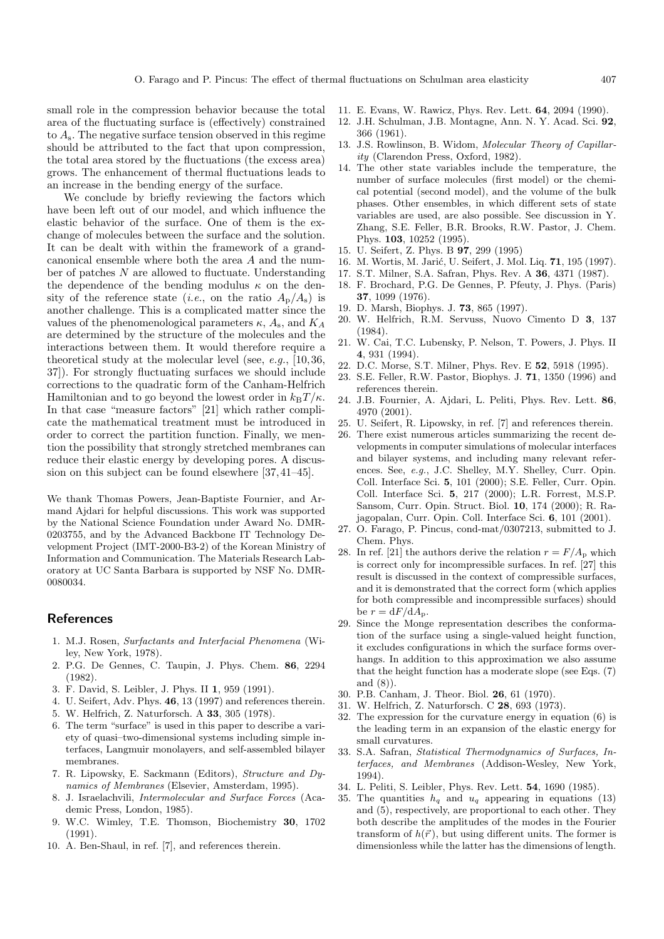small role in the compression behavior because the total area of the fluctuating surface is (effectively) constrained to  $A_s$ . The negative surface tension observed in this regime should be attributed to the fact that upon compression, the total area stored by the fluctuations (the excess area) grows. The enhancement of thermal fluctuations leads to an increase in the bending energy of the surface.

We conclude by briefly reviewing the factors which have been left out of our model, and which influence the elastic behavior of the surface. One of them is the exchange of molecules between the surface and the solution. It can be dealt with within the framework of a grandcanonical ensemble where both the area A and the number of patches N are allowed to fluctuate. Understanding the dependence of the bending modulus  $\kappa$  on the density of the reference state (*i.e.*, on the ratio  $A_{\rm p}/A_{\rm s}$ ) is another challenge. This is a complicated matter since the values of the phenomenological parameters  $\kappa$ ,  $A_s$ , and  $K_A$ are determined by the structure of the molecules and the interactions between them. It would therefore require a theoretical study at the molecular level (see,  $e.g., [10,36,$ 37]). For strongly fluctuating surfaces we should include corrections to the quadratic form of the Canham-Helfrich Hamiltonian and to go beyond the lowest order in  $k_BT/\kappa$ . In that case "measure factors" [21] which rather complicate the mathematical treatment must be introduced in order to correct the partition function. Finally, we mention the possibility that strongly stretched membranes can reduce their elastic energy by developing pores. A discussion on this subject can be found elsewhere [37, 41–45].

We thank Thomas Powers, Jean-Baptiste Fournier, and Armand Ajdari for helpful discussions. This work was supported by the National Science Foundation under Award No. DMR-0203755, and by the Advanced Backbone IT Technology Development Project (IMT-2000-B3-2) of the Korean Ministry of Information and Communication. The Materials Research Laboratory at UC Santa Barbara is supported by NSF No. DMR-0080034.

## **References**

- 1. M.J. Rosen, *Surfactants and Interfacial Phenomena* (Wiley, New York, 1978).
- 2. P.G. De Gennes, C. Taupin, J. Phys. Chem. **86**, 2294 (1982).
- 3. F. David, S. Leibler, J. Phys. II **1**, 959 (1991).
- 4. U. Seifert, Adv. Phys. **46**, 13 (1997) and references therein.
- 5. W. Helfrich, Z. Naturforsch. A **33**, 305 (1978).
- 6. The term "surface" is used in this paper to describe a variety of quasi–two-dimensional systems including simple interfaces, Langmuir monolayers, and self-assembled bilayer membranes.
- 7. R. Lipowsky, E. Sackmann (Editors), *Structure and Dynamics of Membranes* (Elsevier, Amsterdam, 1995).
- 8. J. Israelachvili, *Intermolecular and Surface Forces* (Academic Press, London, 1985).
- 9. W.C. Wimley, T.E. Thomson, Biochemistry **30**, 1702 (1991).
- 10. A. Ben-Shaul, in ref. [7], and references therein.
- 11. E. Evans, W. Rawicz, Phys. Rev. Lett. **64**, 2094 (1990).
- 12. J.H. Schulman, J.B. Montagne, Ann. N. Y. Acad. Sci. **92**, 366 (1961).
- 13. J.S. Rowlinson, B. Widom, *Molecular Theory of Capillarity* (Clarendon Press, Oxford, 1982).
- 14. The other state variables include the temperature, the number of surface molecules (first model) or the chemical potential (second model), and the volume of the bulk phases. Other ensembles, in which different sets of state variables are used, are also possible. See discussion in Y. Zhang, S.E. Feller, B.R. Brooks, R.W. Pastor, J. Chem. Phys. **103**, 10252 (1995).
- 15. U. Seifert , Z. Phys. B **97**, 299 (1995)
- 16. M. Wortis, M. Jarić, U. Seifert, J. Mol. Liq. **71**, 195 (1997).
- 17. S.T. Milner, S.A. Safran, Phys. Rev. A **36**, 4371 (1987).
- 18. F. Brochard, P.G. De Gennes, P. Pfeuty, J. Phys. (Paris) **37**, 1099 (1976).
- 19. D. Marsh, Biophys. J. **73**, 865 (1997).
- 20. W. Helfrich, R.M. Servuss, Nuovo Cimento D **3**, 137 (1984).
- 21. W. Cai, T.C. Lubensky, P. Nelson, T. Powers, J. Phys. II **4**, 931 (1994).
- 22. D.C. Morse, S.T. Milner, Phys. Rev. E **52**, 5918 (1995).
- 23. S.E. Feller, R.W. Pastor, Biophys. J. **71**, 1350 (1996) and references therein.
- 24. J.B. Fournier, A. Ajdari, L. Peliti, Phys. Rev. Lett. **86**, 4970 (2001).
- 25. U. Seifert, R. Lipowsky, in ref. [7] and references therein.
- 26. There exist numerous articles summarizing the recent developments in computer simulations of molecular interfaces and bilayer systems, and including many relevant references. See, *e.g.*, J.C. Shelley, M.Y. Shelley, Curr. Opin. Coll. Interface Sci. **5**, 101 (2000); S.E. Feller, Curr. Opin. Coll. Interface Sci. **5**, 217 (2000); L.R. Forrest, M.S.P. Sansom, Curr. Opin. Struct. Biol. **10**, 174 (2000); R. Rajagopalan, Curr. Opin. Coll. Interface Sci. **6**, 101 (2001).
- 27. O. Farago, P. Pincus, cond-mat/0307213, submitted to J. Chem. Phys.
- 28. In ref. [21] the authors derive the relation  $r = F/A_{\rm p}$  which is correct only for incompressible surfaces. In ref. [27] this result is discussed in the context of compressible surfaces, and it is demonstrated that the correct form (which applies for both compressible and incompressible surfaces) should be  $r = dF/dA_p$ .
- 29. Since the Monge representation describes the conformation of the surface using a single-valued height function, it excludes configurations in which the surface forms overhangs. In addition to this approximation we also assume that the height function has a moderate slope (see Eqs. (7) and (8)).
- 30. P.B. Canham, J. Theor. Biol. **26**, 61 (1970).
- 31. W. Helfrich, Z. Naturforsch. C **28**, 693 (1973).
- 32. The expression for the curvature energy in equation (6) is the leading term in an expansion of the elastic energy for small curvatures.
- 33. S.A. Safran, *Statistical Thermodynamics of Surfaces, Interfaces, and Membranes* (Addison-Wesley, New York, 1994).
- 34. L. Peliti, S. Leibler, Phys. Rev. Lett. **54**, 1690 (1985).
- 35. The quantities  $h_q$  and  $u_q$  appearing in equations (13) and (5), respectively, are proportional to each other. They both describe the amplitudes of the modes in the Fourier transform of  $h(\vec{r})$ , but using different units. The former is dimensionless while the latter has the dimensions of length.